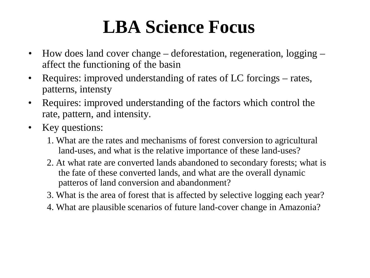## **LBA Science Focus**

- How does land cover change deforestation, regeneration, logging affect the functioning of the basin
- Requires: improved understanding of rates of LC forcings rates, patterns, intensty
- Requires: improved understanding of the factors which control the rate, pattern, and intensity.
- Key questions:
	- 1. What are the rates and mechanisms of forest conversion to agricultural land-uses, and what is the relative importance of these land-uses?
	- 2. At what rate are converted lands abandoned to secondary forests; what is the fate of these converted lands, and what are the overall dynamic patteros of land conversion and abandonment?
	- 3. What is the area of forest that is affected by selective logging each year?
	- 4. What are plausible scenarios of future land-cover change in Amazonia?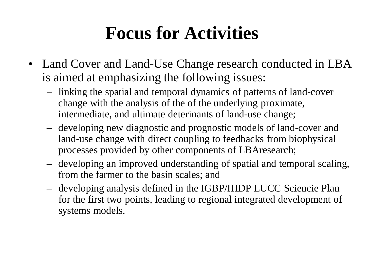### **Focus for Activities**

- Land Cover and Land-Use Change research conducted in LBA is aimed at emphasizing the following issues:
	- linking the spatial and temporal dynamics of patterns of land-cover change with the analysis of the of the underlying proximate, intermediate, and ultimate deterinants of land-use change;
	- developing new diagnostic and prognostic models of land-cover and land-use change with direct coupling to feedbacks from biophysical processes provided by other components of LBAresearch;
	- developing an improved understanding of spatial and temporal scaling, from the farmer to the basin scales; and
	- developing analysis defined in the IGBP/IHDP LUCC Sciencie Plan for the first two points, leading to regional integrated development of systems models.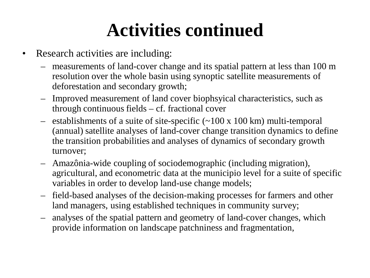## **Activities continued**

- Research activities are including:
	- measurements of land-cover change and its spatial pattern at less than 100 m resolution over the whole basin using synoptic satellite measurements of deforestation and secondary growth;
	- Improved measurement of land cover biophsyical characteristics, such as through continuous fields – cf. fractional cover
	- establishments of a suite of site-specific  $(\sim 100 \times 100 \text{ km})$  multi-temporal (annual) satellite analyses of land-cover change transition dynamics to define the transition probabilities and analyses of dynamics of secondary growth turnover;
	- Amazônia-wide coupling of sociodemographic (including migration), agricultural, and econometric data at the municipio level for a suite of specific variables in order to develop land-use change models;
	- field-based analyses of the decision-making processes for farmers and other land managers, using established techniques in community survey;
	- analyses of the spatial pattern and geometry of land-cover changes, which provide information on landscape patchniness and fragmentation,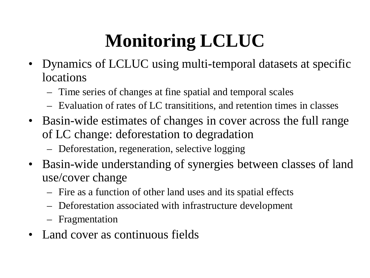# **Monitoring LCLUC**

- Dynamics of LCLUC using multi-temporal datasets at specific locations
	- Time series of changes at fine spatial and temporal scales
	- Evaluation of rates of LC transititions, and retention times in classes
- Basin-wide estimates of changes in cover across the full range of LC change: deforestation to degradation
	- Deforestation, regeneration, selective logging
- Basin-wide understanding of synergies between classes of land use/cover change
	- Fire as a function of other land uses and its spatial effects
	- Deforestation associated with infrastructure development
	- Fragmentation
- Land cover as continuous fields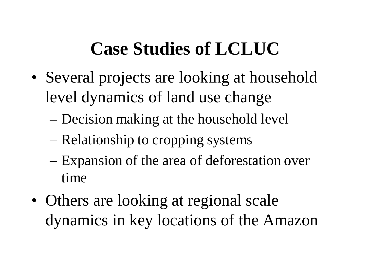# **Case Studies of LCLUC**

- Several projects are looking at household level dynamics of land use change
	- Decision making at the household level
	- Relationship to cropping systems
	- Expansion of the area of deforestation over time
- Others are looking at regional scale dynamics in key locations of the Amazon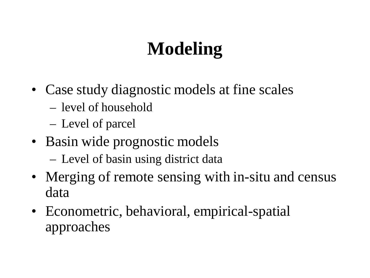# **Modeling**

- Case study diagnostic models at fine scales
	- level of household
	- Level of parcel
- Basin wide prognostic models
	- Level of basin using district data
- Merging of remote sensing with in-situ and census data
- Econometric, behavioral, empirical-spatial approaches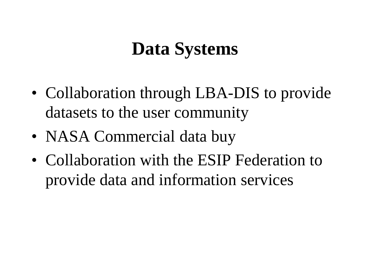#### **Data Systems**

- Collaboration through LBA-DIS to provide datasets to the user community
- NASA Commercial data buy
- Collaboration with the ESIP Federation to provide data and information services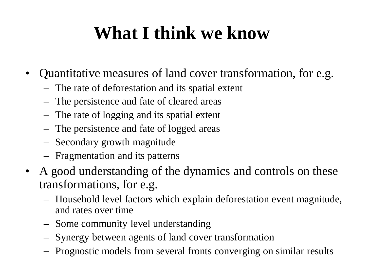### **What I think we know**

- Quantitative measures of land cover transformation, for e.g.
	- The rate of deforestation and its spatial extent
	- The persistence and fate of cleared areas
	- The rate of logging and its spatial extent
	- The persistence and fate of logged areas
	- Secondary growth magnitude
	- Fragmentation and its patterns
- A good understanding of the dynamics and controls on these transformations, for e.g.
	- Household level factors which explain deforestation event magnitude, and rates over time
	- Some community level understanding
	- Synergy between agents of land cover transformation
	- Prognostic models from several fronts converging on similar results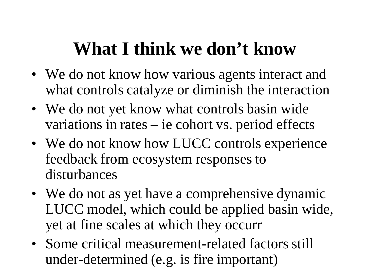### **What I think we don't know**

- We do not know how various agents interact and what controls catalyze or diminish the interaction
- We do not yet know what controls basin wide variations in rates – ie cohort vs. period effects
- We do not know how LUCC controls experience feedback from ecosystem responses to disturbances
- We do not as yet have a comprehensive dynamic LUCC model, which could be applied basin wide, yet at fine scales at which they occurr
- Some critical measurement-related factors still under-determined (e.g. is fire important)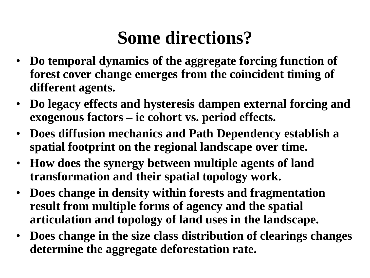# **Some directions?**

- **Do temporal dynamics of the aggregate forcing function of forest cover change emerges from the coincident timing of different agents.**
- **Do legacy effects and hysteresis dampen external forcing and exogenous factors – ie cohort vs. period effects.**
- **Does diffusion mechanics and Path Dependency establish a spatial footprint on the regional landscape over time.**
- **How does the synergy between multiple agents of land transformation and their spatial topology work.**
- **Does change in density within forests and fragmentation result from multiple forms of agency and the spatial articulation and topology of land uses in the landscape.**
- **Does change in the size class distribution of clearings changes determine the aggregate deforestation rate.**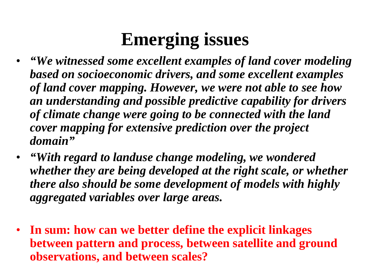# **Emerging issues**

- *"We witnessed some excellent examples of land cover modeling based on socioeconomic drivers, and some excellent examples of land cover mapping. However, we were not able to see how an understanding and possible predictive capability for drivers of climate change were going to be connected with the land cover mapping for extensive prediction over the project domain"*
- *"With regard to landuse change modeling, we wondered whether they are being developed at the right scale, or whether there also should be some development of models with highly aggregated variables over large areas.*
- **In sum: how can we better define the explicit linkages between pattern and process, between satellite and ground observations, and between scales?**